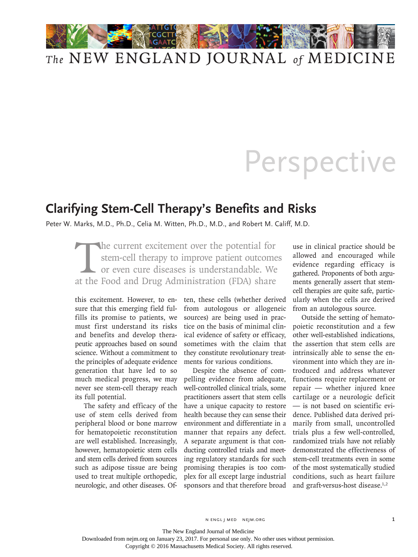

## *The* NEW ENGLAND JOURNAL *of* MEDICINE

## Perspective

## **Clarifying Stem-Cell Therapy's Benefits and Risks**

Peter W. Marks, M.D., Ph.D., Celia M. Witten, Ph.D., M.D., and Robert M. Califf, M.D.

The current excitement over the potential for<br>stem-cell therapy to improve patient outcome<br>or even cure diseases is understandable. We<br>at the Food and Drug Administration (FDA) share stem-cell therapy to improve patient outcomes or even cure diseases is understandable. We at the Food and Drug Administration (FDA) share

this excitement. However, to ensure that this emerging field fulfills its promise to patients, we must first understand its risks and benefits and develop therapeutic approaches based on sound science. Without a commitment to the principles of adequate evidence generation that have led to so much medical progress, we may never see stem-cell therapy reach its full potential.

The safety and efficacy of the use of stem cells derived from peripheral blood or bone marrow for hematopoietic reconstitution are well established. Increasingly, however, hematopoietic stem cells and stem cells derived from sources such as adipose tissue are being used to treat multiple orthopedic, neurologic, and other diseases. Often, these cells (whether derived from autologous or allogeneic sources) are being used in practice on the basis of minimal clinical evidence of safety or efficacy, sometimes with the claim that they constitute revolutionary treatments for various conditions.

Despite the absence of compelling evidence from adequate, well-controlled clinical trials, some practitioners assert that stem cells have a unique capacity to restore health because they can sense their environment and differentiate in a manner that repairs any defect. A separate argument is that conducting controlled trials and meeting regulatory standards for such promising therapies is too complex for all except large industrial sponsors and that therefore broad use in clinical practice should be allowed and encouraged while evidence regarding efficacy is gathered. Proponents of both arguments generally assert that stemcell therapies are quite safe, particularly when the cells are derived from an autologous source.

Outside the setting of hematopoietic reconstitution and a few other well-established indications, the assertion that stem cells are intrinsically able to sense the environment into which they are introduced and address whatever functions require replacement or repair — whether injured knee cartilage or a neurologic deficit — is not based on scientific evidence. Published data derived primarily from small, uncontrolled trials plus a few well-controlled, randomized trials have not reliably demonstrated the effectiveness of stem-cell treatments even in some of the most systematically studied conditions, such as heart failure and graft-versus-host disease.<sup>1,2</sup>

N ENGL J MED NEJM.ORG 1

The New England Journal of Medicine

Downloaded from nejm.org on January 23, 2017. For personal use only. No other uses without permission.

Copyright © 2016 Massachusetts Medical Society. All rights reserved.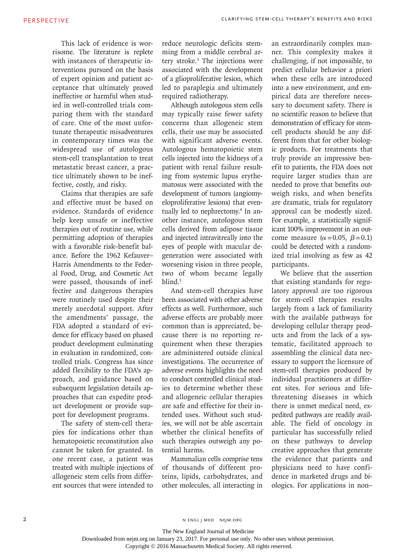This lack of evidence is worrisome. The literature is replete with instances of therapeutic interventions pursued on the basis of expert opinion and patient acceptance that ultimately proved ineffective or harmful when studied in well-controlled trials comparing them with the standard of care. One of the most unfortunate therapeutic misadventures in contemporary times was the widespread use of autologous stem-cell transplantation to treat metastatic breast cancer, a practice ultimately shown to be ineffective, costly, and risky.

Claims that therapies are safe and effective must be based on evidence. Standards of evidence help keep unsafe or ineffective therapies out of routine use, while permitting adoption of therapies with a favorable risk–benefit balance. Before the 1962 Kefauver– Harris Amendments to the Federal Food, Drug, and Cosmetic Act were passed, thousands of ineffective and dangerous therapies were routinely used despite their merely anecdotal support. After the amendments' passage, the FDA adopted a standard of evidence for efficacy based on phased product development culminating in evaluation in randomized, controlled trials. Congress has since added flexibility to the FDA's approach, and guidance based on subsequent legislation details approaches that can expedite product development or provide support for development programs.

The safety of stem-cell therapies for indications other than hematopoietic reconstitution also cannot be taken for granted. In one recent case, a patient was treated with multiple injections of allogeneic stem cells from different sources that were intended to

reduce neurologic deficits stemming from a middle cerebral artery stroke.3 The injections were associated with the development of a glioproliferative lesion, which led to paraplegia and ultimately required radiotherapy.

Although autologous stem cells may typically raise fewer safety concerns than allogeneic stem cells, their use may be associated with significant adverse events. Autologous hematopoietic stem cells injected into the kidneys of a patient with renal failure resulting from systemic lupus erythematosus were associated with the development of tumors (angiomyeloproliferative lesions) that eventually led to nephrectomy.<sup>4</sup> In another instance, autologous stem cells derived from adipose tissue and injected intravitreally into the eyes of people with macular degeneration were associated with worsening vision in three people, two of whom became legally blind.<sup>5</sup>

And stem-cell therapies have been associated with other adverse effects as well. Furthermore, such adverse effects are probably more common than is appreciated, because there is no reporting requirement when these therapies are administered outside clinical investigations. The occurrence of adverse events highlights the need to conduct controlled clinical studies to determine whether these and allogeneic cellular therapies are safe and effective for their intended uses. Without such studies, we will not be able ascertain whether the clinical benefits of such therapies outweigh any potential harms.

Mammalian cells comprise tens of thousands of different proteins, lipids, carbohydrates, and other molecules, all interacting in an extraordinarily complex manner. This complexity makes it challenging, if not impossible, to predict cellular behavior a priori when these cells are introduced into a new environment, and empirical data are therefore necessary to document safety. There is no scientific reason to believe that demonstration of efficacy for stemcell products should be any different from that for other biologic products. For treatments that truly provide an impressive benefit to patients, the FDA does not require larger studies than are needed to prove that benefits outweigh risks, and when benefits are dramatic, trials for regulatory approval can be modestly sized. For example, a statistically significant 100% improvement in an outcome measure ( $\alpha$ =0.05,  $\beta$ =0.1) could be detected with a randomized trial involving as few as 42 participants.

We believe that the assertion that existing standards for regulatory approval are too rigorous for stem-cell therapies results largely from a lack of familiarity with the available pathways for developing cellular therapy products and from the lack of a systematic, facilitated approach to assembling the clinical data necessary to support the licensure of stem-cell therapies produced by individual practitioners at different sites. For serious and lifethreatening diseases in which there is unmet medical need, expedited pathways are readily available. The field of oncology in particular has successfully relied on these pathways to develop creative approaches that generate the evidence that patients and physicians need to have confidence in marketed drugs and biologics. For applications in non–

n engl j med nejm.org

The New England Journal of Medicine

Downloaded from nejm.org on January 23, 2017. For personal use only. No other uses without permission.

Copyright © 2016 Massachusetts Medical Society. All rights reserved.